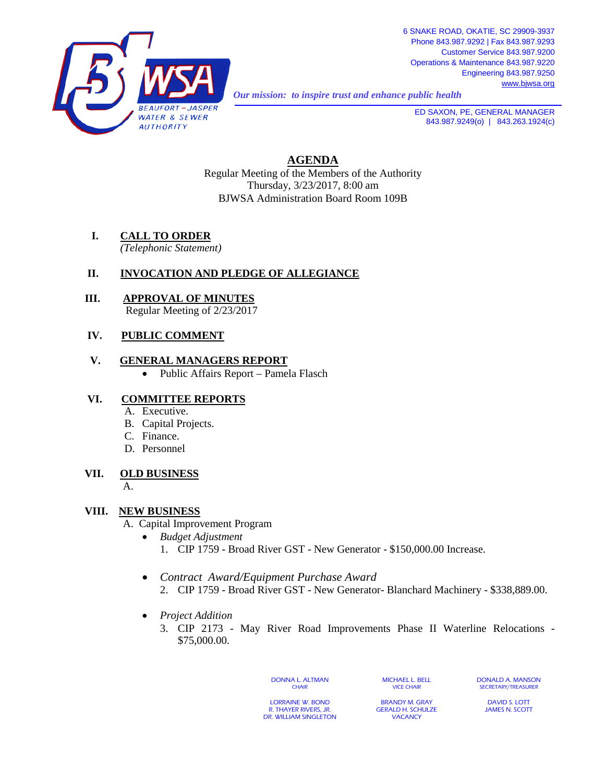

*Our mission: to inspire trust and enhance public health* 

**ED SAXON, PE, GENERAL MANAGER** 843.987.9249(o) | 843.263.1924(c)

# **AGENDA**

Regular Meeting of the Members of the Authority Thursday, 3/23/2017, 8:00 am BJWSA Administration Board Room 109B

**I. CALL TO ORDER**

*(Telephonic Statement)*

## **II. INVOCATION AND PLEDGE OF ALLEGIANCE**

 **III. APPROVAL OF MINUTES** Regular Meeting of 2/23/2017

## **IV. PUBLIC COMMENT**

#### **V. GENERAL MANAGERS REPORT**

• Public Affairs Report – Pamela Flasch

## **VI. COMMITTEE REPORTS**

- A. Executive.
- B. Capital Projects.
- C. Finance.
- D. Personnel

#### **VII. OLD BUSINESS**

A.

#### **VIII. NEW BUSINESS**

- A. Capital Improvement Program
	- *Budget Adjustment* 1. CIP 1759 - Broad River GST - New Generator - \$150,000.00 Increase.
		-
	- *Contract Award/Equipment Purchase Award*
		- 2. CIP 1759 Broad River GST New Generator- Blanchard Machinery \$338,889.00.
	- *Project Addition*
		- 3. CIP 2173 May River Road Improvements Phase II Waterline Relocations \$75,000.00.

DONNA L. ALTMAN **CHAIR** 

MICHAEL L. BELL VICE CHAIR

DONALD A. MANSON SECRETARY/TREASURER

LORRAINE W. BOND R. THAYER RIVERS, JR. DR. WILLIAM SINGLETON

BRANDY M. GRAY GERALD H. SCHULZE **VACANCY** 

DAVID S. LOTT JAMES N. SCOTT